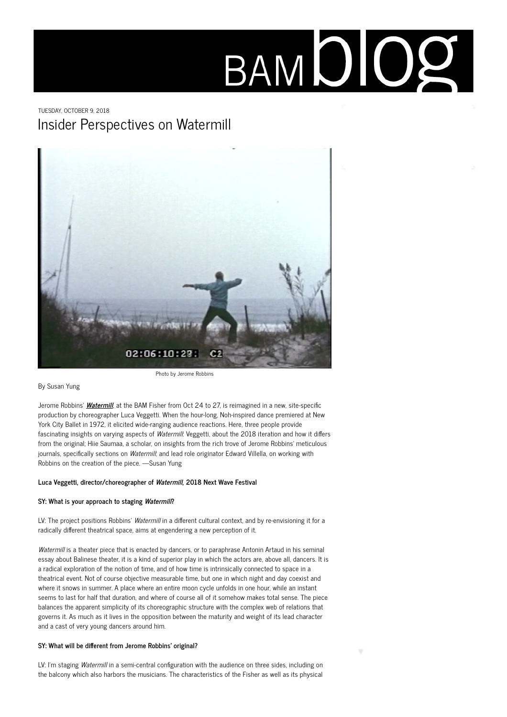# BAMDIOG

# TUESDAY, OCTOBER 9, 2018 Insider Perspectives on Watermill



Photo by Jerome Robbins

By Susan Yung

Jerome Robbins' **[Watermill](https://www.bam.org/dance/2018/watermill)**, at the BAM Fisher from Oct 24 to 27, is reimagined in a new, site-specific production by choreographer Luca Veggetti. When the hour-long, Noh-inspired dance premiered at New York City Ballet in 1972, it elicited wide-ranging audience reactions. Here, three people provide fascinating insights on varying aspects of Watermill: Veggetti, about the 2018 iteration and how it differs from the original; Hiie Saumaa, a scholar, on insights from the rich trove of Jerome Robbins' meticulous journals, specifically sections on Watermill; and lead role originator Edward Villella, on working with Robbins on the creation of the piece. —Susan Yung

# **Luca Veggetti, director/choreographer of Watermill, 2018 Next Wave Festival**

# **SY: What is your approach to staging Watermill?**

LV: The project positions Robbins' Watermill in a different cultural context, and by re-envisioning it for a radically different theatrical space, aims at engendering a new perception of it.

Watermill is a theater piece that is enacted by dancers, or to paraphrase Antonin Artaud in his seminal essay about Balinese theater, it is a kind of superior play in which the actors are, above all, dancers. It is a radical exploration of the notion of time, and of how time is intrinsically connected to space in a theatrical event. Not of course objective measurable time, but one in which night and day coexist and where it snows in summer. A place where an entire moon cycle unfolds in one hour, while an instant seems to last for half that duration, and where of course all of it somehow makes total sense. The piece balances the apparent simplicity of its choreographic structure with the complex web of relations that governs it. As much as it lives in the opposition between the maturity and weight of its lead character and a cast of very young dancers around him.

# **SY: What will be different from Jerome Robbins' original?**

LV: I'm staging Watermill in a semi-central configuration with the audience on three sides, including on the balcony which also harbors the musicians. The characteristics of the Fisher as well as its physical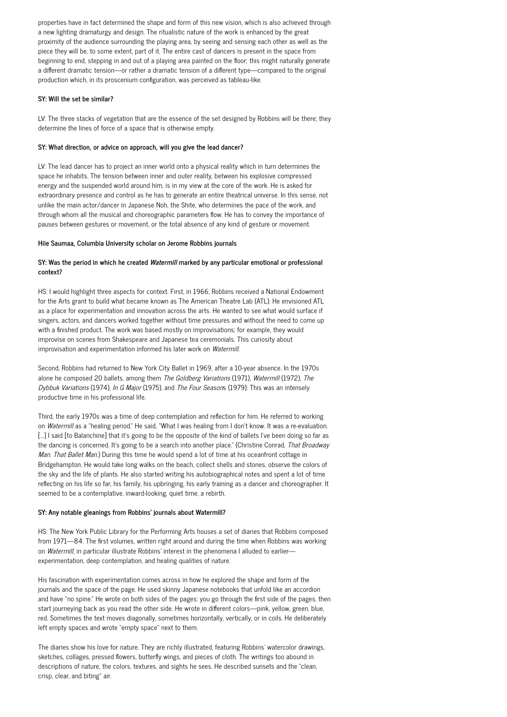properties have in fact determined the shape and form of this new vision, which is also achieved through a new lighting dramaturgy and design. The ritualistic nature of the work is enhanced by the great proximity of the audience surrounding the playing area, by seeing and sensing each other as well as the piece they will be, to some extent, part of it. The entire cast of dancers is present in the space from beginning to end, stepping in and out of a playing area painted on the floor; this might naturally generate a different dramatic tension—or rather a dramatic tension of a different type—compared to the original production which, in its proscenium configuration, was perceived as tableau-like.

# **SY: Will the set be similar?**

LV: The three stacks of vegetation that are the essence of the set designed by Robbins will be there; they determine the lines of force of a space that is otherwise empty.

## **SY: What direction, or advice on approach, will you give the lead dancer?**

LV: The lead dancer has to project an inner world onto a physical reality which in turn determines the space he inhabits. The tension between inner and outer reality, between his explosive compressed energy and the suspended world around him, is in my view at the core of the work. He is asked for extraordinary presence and control as he has to generate an entire theatrical universe. In this sense, not unlike the main actor/dancer in Japanese Noh, the Shite, who determines the pace of the work, and through whom all the musical and choreographic parameters flow. He has to convey the importance of pauses between gestures or movement, or the total absence of any kind of gesture or movement.

#### **Hiie Saumaa, Columbia University scholar on Jerome Robbins journals**

# **SY: Was the period in which he created Watermill marked by any particular emotional or professional context?**

HS: I would highlight three aspects for context. First, in 1966, Robbins received a National Endowment for the Arts grant to build what became known as The American Theatre Lab (ATL). He envisioned ATL as a place for experimentation and innovation across the arts. He wanted to see what would surface if singers, actors, and dancers worked together without time pressures and without the need to come up with a finished product. The work was based mostly on improvisations; for example, they would improvise on scenes from Shakespeare and Japanese tea ceremonials. This curiosity about improvisation and experimentation informed his later work on Watermill.

Second, Robbins had returned to New York City Ballet in 1969, after a 10-year absence. In the 1970s alone he composed 20 ballets, among them The Goldberg Variations (1971), Watermill (1972), The Dybbuk Variations (1974), In G Major (1975), and The Four Seasons (1979). This was an intensely productive time in his professional life.

Third, the early 1970s was a time of deep contemplation and reflection for him. He referred to working on Watermill as a "healing period." He said, "What I was healing from I don't know. It was a re-evaluation. […] I said [to Balanchine] that it's going to be the opposite of the kind of ballets I've been doing so far as the dancing is concerned. It's going to be a search into another place." (Christine Conrad, That Broadway Man. That Ballet Man.) During this time he would spend a lot of time at his oceanfront cottage in Bridgehampton. He would take long walks on the beach, collect shells and stones, observe the colors of the sky and the life of plants. He also started writing his autobiographical notes and spent a lot of time reflecting on his life so far, his family, his upbringing, his early training as a dancer and choreographer. It seemed to be a contemplative, inward-looking, quiet time, a rebirth.

#### **SY: Any notable gleanings from Robbins' journals about Watermill?**

HS: The New York Public Library for the Performing Arts houses a set of diaries that Robbins composed from 1971—84. The first volumes, written right around and during the time when Robbins was working on Watermill, in particular illustrate Robbins' interest in the phenomena I alluded to earlierexperimentation, deep contemplation, and healing qualities of nature.

His fascination with experimentation comes across in how he explored the shape and form of the journals and the space of the page. He used skinny Japanese notebooks that unfold like an accordion and have "no spine." He wrote on both sides of the pages: you go through the first side of the pages, then start journeying back as you read the other side. He wrote in different colors—pink, yellow, green, blue, red. Sometimes the text moves diagonally, sometimes horizontally, vertically, or in coils. He deliberately left empty spaces and wrote "empty space" next to them.

The diaries show his love for nature. They are richly illustrated, featuring Robbins' watercolor drawings, sketches, collages, pressed flowers, butterfly wings, and pieces of cloth. The writings too abound in descriptions of nature, the colors, textures, and sights he sees. He described sunsets and the "clean, crisp, clear, and biting" air.